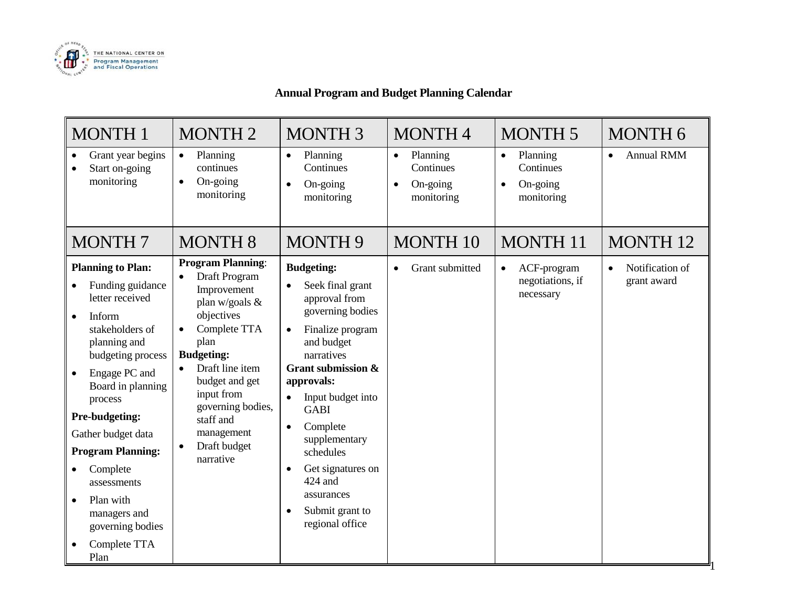

# **Annual Program and Budget Planning Calendar**

| <b>MONTH1</b>                                                                                                                                                                                                                                                                                                                                                                                                               | <b>MONTH2</b>                                                                                                                                                                                                                                                                        | <b>MONTH 3</b>                                                                                                                                                                                                                                                                                                                                             | <b>MONTH4</b>                                                             | <b>MONTH 5</b>                                                            | <b>MONTH 6</b>                              |
|-----------------------------------------------------------------------------------------------------------------------------------------------------------------------------------------------------------------------------------------------------------------------------------------------------------------------------------------------------------------------------------------------------------------------------|--------------------------------------------------------------------------------------------------------------------------------------------------------------------------------------------------------------------------------------------------------------------------------------|------------------------------------------------------------------------------------------------------------------------------------------------------------------------------------------------------------------------------------------------------------------------------------------------------------------------------------------------------------|---------------------------------------------------------------------------|---------------------------------------------------------------------------|---------------------------------------------|
| Grant year begins<br>$\bullet$<br>Start on-going<br>$\bullet$<br>monitoring                                                                                                                                                                                                                                                                                                                                                 | Planning<br>$\bullet$<br>continues<br>On-going<br>$\bullet$<br>monitoring                                                                                                                                                                                                            | Planning<br>$\bullet$<br>Continues<br>On-going<br>$\bullet$<br>monitoring                                                                                                                                                                                                                                                                                  | Planning<br>$\bullet$<br>Continues<br>On-going<br>$\bullet$<br>monitoring | Planning<br>$\bullet$<br>Continues<br>On-going<br>$\bullet$<br>monitoring | <b>Annual RMM</b>                           |
| <b>MONTH7</b>                                                                                                                                                                                                                                                                                                                                                                                                               | <b>MONTH 8</b>                                                                                                                                                                                                                                                                       | <b>MONTH 9</b>                                                                                                                                                                                                                                                                                                                                             | <b>MONTH 10</b>                                                           | <b>MONTH 11</b>                                                           | <b>MONTH 12</b>                             |
| <b>Planning to Plan:</b><br>Funding guidance<br>letter received<br>Inform<br>$\bullet$<br>stakeholders of<br>planning and<br>budgeting process<br>Engage PC and<br>$\bullet$<br>Board in planning<br>process<br>Pre-budgeting:<br>Gather budget data<br><b>Program Planning:</b><br>Complete<br>$\bullet$<br>assessments<br>Plan with<br>$\bullet$<br>managers and<br>governing bodies<br>Complete TTA<br>$\bullet$<br>Plan | <b>Program Planning:</b><br>Draft Program<br>Improvement<br>plan w/goals $&$<br>objectives<br>Complete TTA<br>plan<br><b>Budgeting:</b><br>Draft line item<br>budget and get<br>input from<br>governing bodies,<br>staff and<br>management<br>Draft budget<br>$\bullet$<br>narrative | <b>Budgeting:</b><br>Seek final grant<br>approval from<br>governing bodies<br>Finalize program<br>$\bullet$<br>and budget<br>narratives<br>Grant submission &<br>approvals:<br>Input budget into<br><b>GABI</b><br>Complete<br>$\bullet$<br>supplementary<br>schedules<br>Get signatures on<br>424 and<br>assurances<br>Submit grant to<br>regional office | Grant submitted                                                           | ACF-program<br>$\bullet$<br>negotiations, if<br>necessary                 | Notification of<br>$\bullet$<br>grant award |